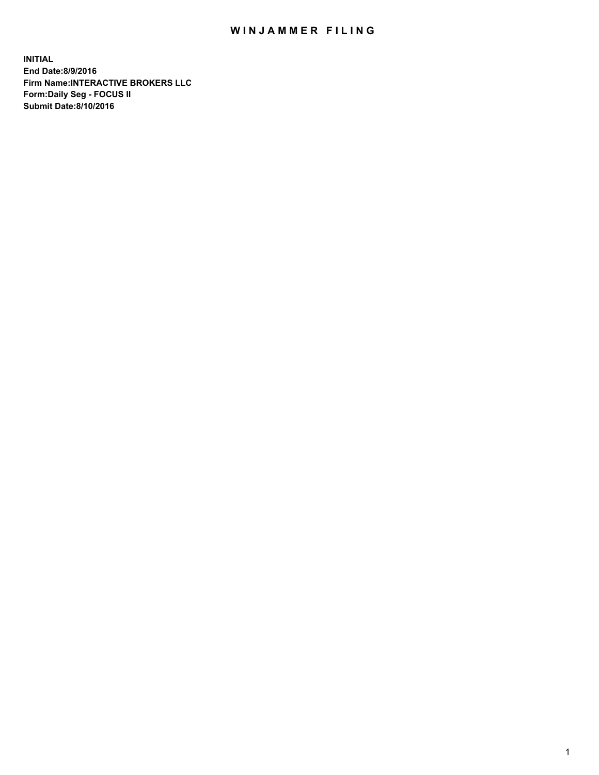## WIN JAMMER FILING

**INITIAL End Date:8/9/2016 Firm Name:INTERACTIVE BROKERS LLC Form:Daily Seg - FOCUS II Submit Date:8/10/2016**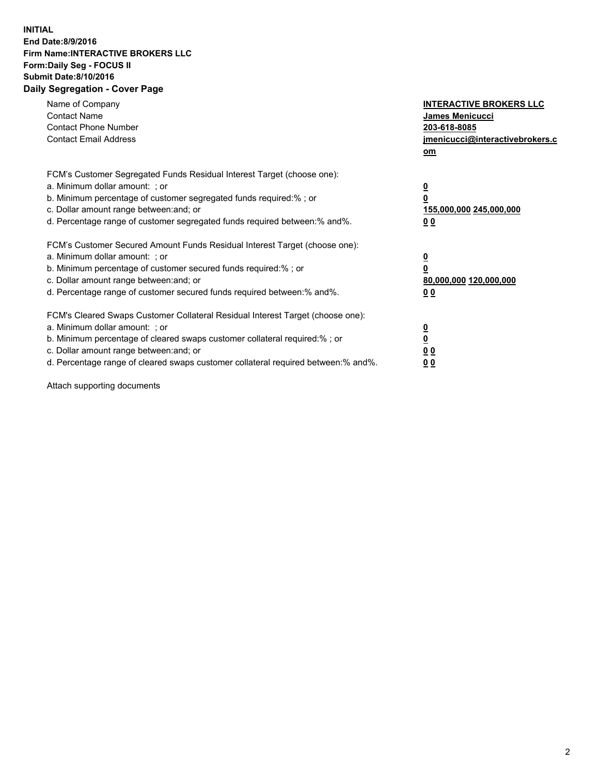## **INITIAL End Date:8/9/2016 Firm Name:INTERACTIVE BROKERS LLC Form:Daily Seg - FOCUS II Submit Date:8/10/2016 Daily Segregation - Cover Page**

| Name of Company<br><b>Contact Name</b><br><b>Contact Phone Number</b><br><b>Contact Email Address</b>                                                                                                                                                                                                                          | <b>INTERACTIVE BROKERS LLC</b><br><b>James Menicucci</b><br>203-618-8085<br>jmenicucci@interactivebrokers.c<br>om |
|--------------------------------------------------------------------------------------------------------------------------------------------------------------------------------------------------------------------------------------------------------------------------------------------------------------------------------|-------------------------------------------------------------------------------------------------------------------|
| FCM's Customer Segregated Funds Residual Interest Target (choose one):<br>a. Minimum dollar amount: ; or<br>b. Minimum percentage of customer segregated funds required:% ; or<br>c. Dollar amount range between: and; or<br>d. Percentage range of customer segregated funds required between: % and %.                       | $\overline{\mathbf{0}}$<br>0<br>155,000,000 245,000,000<br>00                                                     |
| FCM's Customer Secured Amount Funds Residual Interest Target (choose one):<br>a. Minimum dollar amount: ; or<br>b. Minimum percentage of customer secured funds required:%; or<br>c. Dollar amount range between: and; or<br>d. Percentage range of customer secured funds required between: % and %.                          | $\overline{\mathbf{0}}$<br>0<br>80,000,000 120,000,000<br>00                                                      |
| FCM's Cleared Swaps Customer Collateral Residual Interest Target (choose one):<br>a. Minimum dollar amount: ; or<br>b. Minimum percentage of cleared swaps customer collateral required:% ; or<br>c. Dollar amount range between: and; or<br>d. Percentage range of cleared swaps customer collateral required between:% and%. | $\overline{\mathbf{0}}$<br>$\overline{\mathbf{0}}$<br>00<br>0 <sub>0</sub>                                        |

Attach supporting documents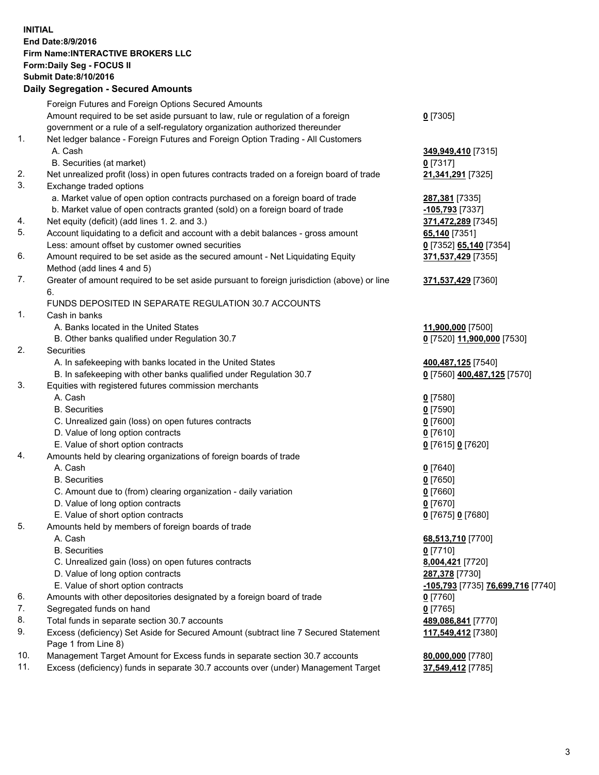## **INITIAL End Date:8/9/2016 Firm Name:INTERACTIVE BROKERS LLC Form:Daily Seg - FOCUS II Submit Date:8/10/2016 Daily Segregation - Secured Amounts**

|     | Foreign Futures and Foreign Options Secured Amounts                                         |                                                |
|-----|---------------------------------------------------------------------------------------------|------------------------------------------------|
|     | Amount required to be set aside pursuant to law, rule or regulation of a foreign            | $0$ [7305]                                     |
|     | government or a rule of a self-regulatory organization authorized thereunder                |                                                |
| 1.  | Net ledger balance - Foreign Futures and Foreign Option Trading - All Customers             |                                                |
|     | A. Cash                                                                                     | 349,949,410 [7315]                             |
|     | B. Securities (at market)                                                                   | $0$ [7317]                                     |
| 2.  | Net unrealized profit (loss) in open futures contracts traded on a foreign board of trade   | 21,341,291 [7325]                              |
| 3.  | Exchange traded options                                                                     |                                                |
|     | a. Market value of open option contracts purchased on a foreign board of trade              | 287,381 [7335]                                 |
|     | b. Market value of open contracts granted (sold) on a foreign board of trade                | -105,793 [7337]                                |
| 4.  | Net equity (deficit) (add lines 1. 2. and 3.)                                               | 371,472,289 [7345]                             |
| 5.  | Account liquidating to a deficit and account with a debit balances - gross amount           | 65,140 [7351]                                  |
|     | Less: amount offset by customer owned securities                                            | 0 [7352] 65,140 [7354]                         |
| 6.  | Amount required to be set aside as the secured amount - Net Liquidating Equity              | 371,537,429 [7355]                             |
|     |                                                                                             |                                                |
| 7.  | Method (add lines 4 and 5)                                                                  |                                                |
|     | Greater of amount required to be set aside pursuant to foreign jurisdiction (above) or line | 371,537,429 [7360]                             |
|     | 6.                                                                                          |                                                |
|     | FUNDS DEPOSITED IN SEPARATE REGULATION 30.7 ACCOUNTS                                        |                                                |
| 1.  | Cash in banks                                                                               |                                                |
|     | A. Banks located in the United States                                                       | 11,900,000 [7500]                              |
|     | B. Other banks qualified under Regulation 30.7                                              | 0 [7520] 11,900,000 [7530]                     |
| 2.  | Securities                                                                                  |                                                |
|     | A. In safekeeping with banks located in the United States                                   | 400,487,125 [7540]                             |
|     | B. In safekeeping with other banks qualified under Regulation 30.7                          | 0 [7560] 400,487,125 [7570]                    |
| 3.  | Equities with registered futures commission merchants                                       |                                                |
|     | A. Cash                                                                                     | $0$ [7580]                                     |
|     | <b>B.</b> Securities                                                                        | $0$ [7590]                                     |
|     | C. Unrealized gain (loss) on open futures contracts                                         | $0$ [7600]                                     |
|     | D. Value of long option contracts                                                           | $0$ [7610]                                     |
|     | E. Value of short option contracts                                                          | 0 [7615] 0 [7620]                              |
| 4.  | Amounts held by clearing organizations of foreign boards of trade                           |                                                |
|     | A. Cash                                                                                     | $0$ [7640]                                     |
|     | <b>B.</b> Securities                                                                        | $0$ [7650]                                     |
|     | C. Amount due to (from) clearing organization - daily variation                             | $0$ [7660]                                     |
|     | D. Value of long option contracts                                                           | $0$ [7670]                                     |
|     | E. Value of short option contracts                                                          | 0 [7675] 0 [7680]                              |
| 5.  | Amounts held by members of foreign boards of trade                                          |                                                |
|     | A. Cash                                                                                     | 68,513,710 [7700]                              |
|     | <b>B.</b> Securities                                                                        | $0$ [7710]                                     |
|     | C. Unrealized gain (loss) on open futures contracts                                         | 8,004,421 [7720]                               |
|     | D. Value of long option contracts                                                           | 287,378 [7730]                                 |
|     | E. Value of short option contracts                                                          | <mark>-105,793</mark> [7735] 76,699,716 [7740] |
| 6.  | Amounts with other depositories designated by a foreign board of trade                      | 0 [7760]                                       |
| 7.  | Segregated funds on hand                                                                    | $0$ [7765]                                     |
| 8.  | Total funds in separate section 30.7 accounts                                               | 489,086,841 [7770]                             |
| 9.  | Excess (deficiency) Set Aside for Secured Amount (subtract line 7 Secured Statement         | 117,549,412 [7380]                             |
|     | Page 1 from Line 8)                                                                         |                                                |
| 10. | Management Target Amount for Excess funds in separate section 30.7 accounts                 | 80,000,000 [7780]                              |
| 11. | Excess (deficiency) funds in separate 30.7 accounts over (under) Management Target          | 37,549,412 [7785]                              |
|     |                                                                                             |                                                |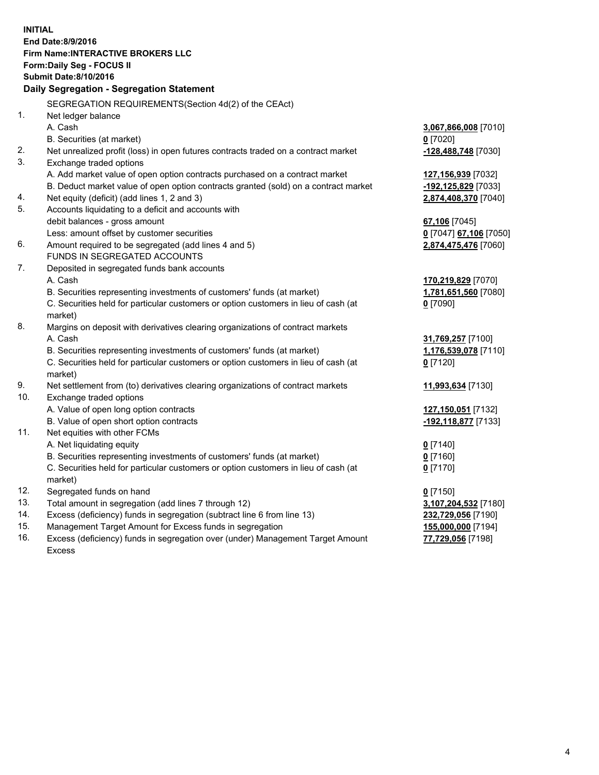**INITIAL End Date:8/9/2016 Firm Name:INTERACTIVE BROKERS LLC Form:Daily Seg - FOCUS II Submit Date:8/10/2016 Daily Segregation - Segregation Statement** SEGREGATION REQUIREMENTS(Section 4d(2) of the CEAct) 1. Net ledger balance A. Cash **3,067,866,008** [7010] B. Securities (at market) **0** [7020] 2. Net unrealized profit (loss) in open futures contracts traded on a contract market **-128,488,748** [7030] 3. Exchange traded options A. Add market value of open option contracts purchased on a contract market **127,156,939** [7032] B. Deduct market value of open option contracts granted (sold) on a contract market **-192,125,829** [7033] 4. Net equity (deficit) (add lines 1, 2 and 3) **2,874,408,370** [7040] 5. Accounts liquidating to a deficit and accounts with debit balances - gross amount **67,106** [7045] Less: amount offset by customer securities **0** [7047] **67,106** [7050] 6. Amount required to be segregated (add lines 4 and 5) **2,874,475,476** [7060] FUNDS IN SEGREGATED ACCOUNTS 7. Deposited in segregated funds bank accounts A. Cash **170,219,829** [7070] B. Securities representing investments of customers' funds (at market) **1,781,651,560** [7080] C. Securities held for particular customers or option customers in lieu of cash (at market) **0** [7090] 8. Margins on deposit with derivatives clearing organizations of contract markets A. Cash **31,769,257** [7100] B. Securities representing investments of customers' funds (at market) **1,176,539,078** [7110] C. Securities held for particular customers or option customers in lieu of cash (at market) **0** [7120] 9. Net settlement from (to) derivatives clearing organizations of contract markets **11,993,634** [7130] 10. Exchange traded options A. Value of open long option contracts **127,150,051** [7132] B. Value of open short option contracts **-192,118,877** [7133] 11. Net equities with other FCMs A. Net liquidating equity **0** [7140] B. Securities representing investments of customers' funds (at market) **0** [7160] C. Securities held for particular customers or option customers in lieu of cash (at market) **0** [7170] 12. Segregated funds on hand **0** [7150] 13. Total amount in segregation (add lines 7 through 12) **3,107,204,532** [7180] 14. Excess (deficiency) funds in segregation (subtract line 6 from line 13) **232,729,056** [7190] 15. Management Target Amount for Excess funds in segregation **155,000,000** [7194] **77,729,056** [7198]

16. Excess (deficiency) funds in segregation over (under) Management Target Amount Excess